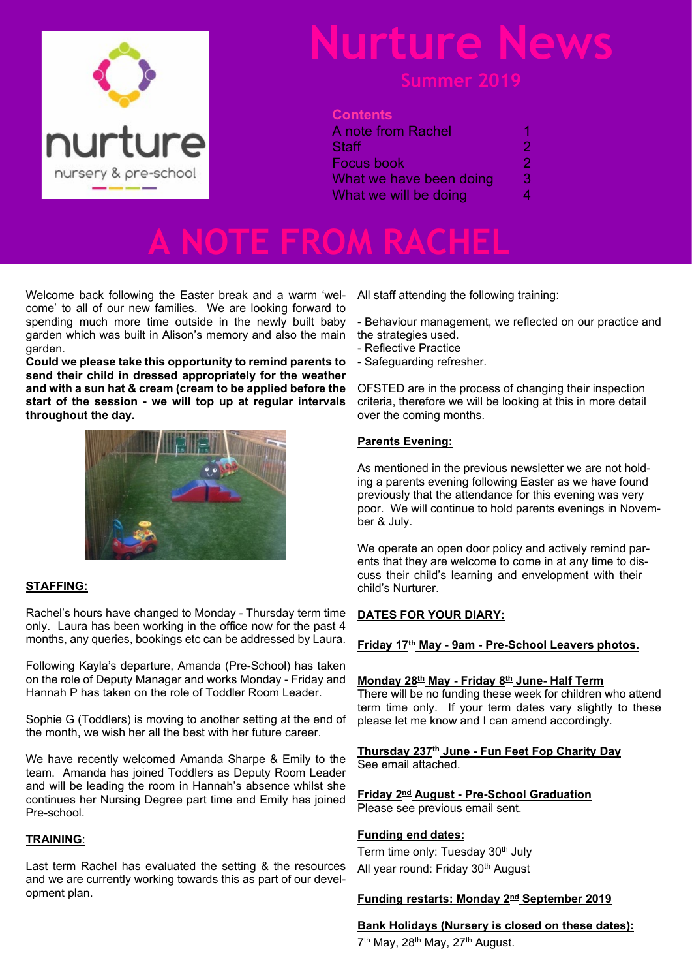

## **Nurture News**

### **Contents**

| A note from Rachel                             |             |                       |   |
|------------------------------------------------|-------------|-----------------------|---|
| Staff<br>Focus book<br>What we have been doing | 2<br>2<br>З |                       |   |
|                                                |             | What we will be doing | 4 |
|                                                |             |                       |   |

**A NOTE FROM RACHEL**

Welcome back following the Easter break and a warm 'welcome' to all of our new families. We are looking forward to spending much more time outside in the newly built baby garden which was built in Alison's memory and also the main garden.

**Could we please take this opportunity to remind parents to send their child in dressed appropriately for the weather and with a sun hat & cream (cream to be applied before the start of the session - we will top up at regular intervals throughout the day.**



### **STAFFING:**

Rachel's hours have changed to Monday - Thursday term time only. Laura has been working in the office now for the past 4 months, any queries, bookings etc can be addressed by Laura.

Following Kayla's departure, Amanda (Pre-School) has taken on the role of Deputy Manager and works Monday - Friday and Hannah P has taken on the role of Toddler Room Leader.

Sophie G (Toddlers) is moving to another setting at the end of the month, we wish her all the best with her future career.

We have recently welcomed Amanda Sharpe & Emily to the team. Amanda has joined Toddlers as Deputy Room Leader and will be leading the room in Hannah's absence whilst she continues her Nursing Degree part time and Emily has joined Pre-school.

#### **TRAINING**:

Last term Rachel has evaluated the setting & the resources and we are currently working towards this as part of our development plan.

All staff attending the following training:

- Behaviour management, we reflected on our practice and the strategies used.

- Reflective Practice
- Safeguarding refresher.

OFSTED are in the process of changing their inspection criteria, therefore we will be looking at this in more detail over the coming months.

#### **Parents Evening:**

As mentioned in the previous newsletter we are not holding a parents evening following Easter as we have found previously that the attendance for this evening was very poor. We will continue to hold parents evenings in November & July.

We operate an open door policy and actively remind parents that they are welcome to come in at any time to discuss their child's learning and envelopment with their child's Nurturer.

### **DATES FOR YOUR DIARY:**

#### **Friday 17th May - 9am - Pre-School Leavers photos.**

#### **Monday 28th May - Friday 8th June- Half Term**

There will be no funding these week for children who attend term time only. If your term dates vary slightly to these please let me know and I can amend accordingly.

**Thursday 237th June - Fun Feet Fop Charity Day** See email attached.

#### **Friday 2nd August - Pre-School Graduation** Please see previous email sent.

**Funding end dates:**

Term time only: Tuesday 30<sup>th</sup> July All year round: Friday 30th August

### **Funding restarts: Monday 2nd September 2019**

### **Bank Holidays (Nursery is closed on these dates):**

7<sup>th</sup> May, 28<sup>th</sup> May, 27<sup>th</sup> August.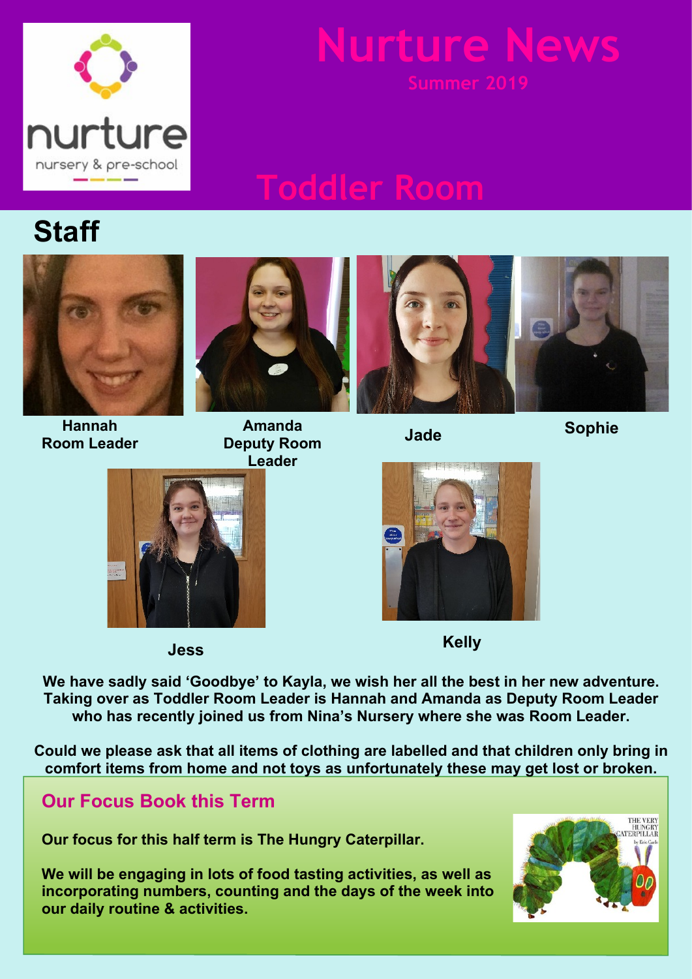

## **Nurture News Summer 2019**

## **Toddler Room**

## **Staff**



**Hannah Room Leader**



**Amanda Deputy Room Leader**



**Jade**

**Sophie**





**Jess Kelly**

**We have sadly said 'Goodbye' to Kayla, we wish her all the best in her new adventure. Taking over as Toddler Room Leader is Hannah and Amanda as Deputy Room Leader who has recently joined us from Nina's Nursery where she was Room Leader.**

**Could we please ask that all items of clothing are labelled and that children only bring in comfort items from home and not toys as unfortunately these may get lost or broken.**

### **Our Focus Book this Term**

**Our focus for this half term is The Hungry Caterpillar.**

**We will be engaging in lots of food tasting activities, as well as incorporating numbers, counting and the days of the week into our daily routine & activities.**

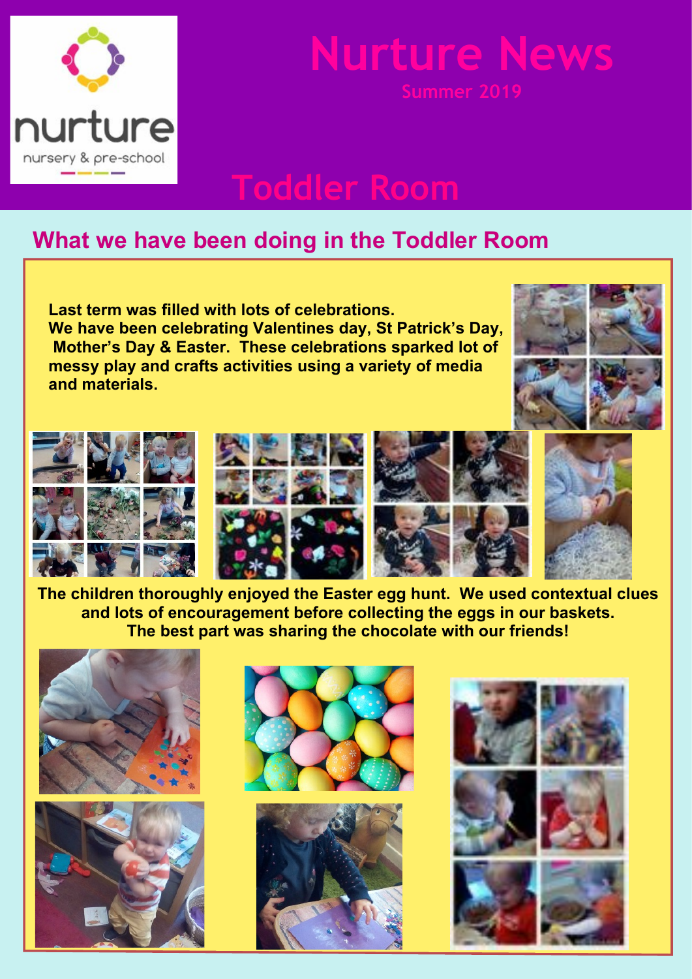

# **Nurture News**

**Toddler Room**

### **What we have been doing in the Toddler Room**

**Last term was filled with lots of celebrations. We have been celebrating Valentines day, St Patrick's Day, Mother's Day & Easter. These celebrations sparked lot of messy play and crafts activities using a variety of media and materials.**





**The children thoroughly enjoyed the Easter egg hunt. We used contextual clues and lots of encouragement before collecting the eggs in our baskets. The best part was sharing the chocolate with our friends!**